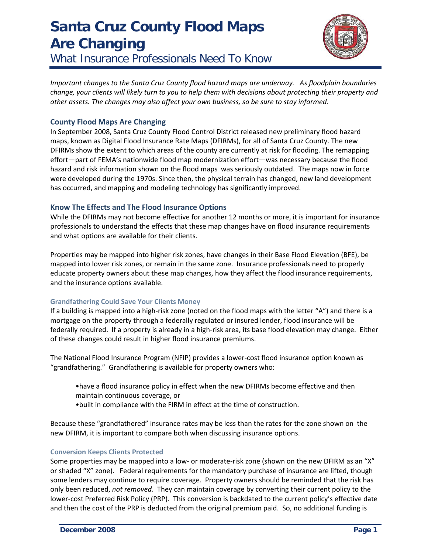# **Santa Cruz County Flood Maps Are Changing**





*Important changes to the Santa Cruz County flood hazard maps are underway. As floodplain boundaries* change, your clients will likely turn to you to help them with decisions about protecting their property and *other assets. The changes may also affect your own business, so be sure to stay informed.*

## **County Flood Maps Are Changing**

In September 2008, Santa Cruz County Flood Control District released new preliminary flood hazard maps, known as Digital Flood Insurance Rate Maps (DFIRMs), for all of Santa Cruz County. The new DFIRMs show the extent to which areas of the county are currently at risk for flooding. The remapping effort—part of FEMA's nationwide flood map modernization effort—was necessary because the flood hazard and risk information shown on the flood maps was seriously outdated. The maps now in force were developed during the 1970s. Since then, the physical terrain has changed, new land development has occurred, and mapping and modeling technology has significantly improved.

## **Know The Effects and The Flood Insurance Options**

While the DFIRMs may not become effective for another 12 months or more, it is important for insurance professionals to understand the effects that these map changes have on flood insurance requirements and what options are available for their clients.

Properties may be mapped into higher risk zones, have changes in their Base Flood Elevation (BFE), be mapped into lower risk zones, or remain in the same zone. Insurance professionals need to properly educate property owners about these map changes, how they affect the flood insurance requirements, and the insurance options available.

#### **Grandfathering Could Save Your Clients Money**

If a building is mapped into a high‐risk zone (noted on the flood maps with the letter "A") and there is a mortgage on the property through a federally regulated or insured lender, flood insurance will be federally required. If a property is already in a high-risk area, its base flood elevation may change. Either of these changes could result in higher flood insurance premiums.

The National Flood Insurance Program (NFIP) provides a lower‐cost flood insurance option known as "grandfathering." Grandfathering is available for property owners who:

- •have a flood insurance policy in effect when the new DFIRMs become effective and then maintain continuous coverage, or
- •built in compliance with the FIRM in effect at the time of construction.

Because these "grandfathered" insurance rates may be less than the rates for the zone shown on the new DFIRM, it is important to compare both when discussing insurance options.

#### **Conversion Keeps Clients Protected**

Some properties may be mapped into a low- or moderate-risk zone (shown on the new DFIRM as an "X" or shaded "X" zone). Federal requirements for the mandatory purchase of insurance are lifted, though some lenders may continue to require coverage. Property owners should be reminded that the risk has only been reduced, *not removed.* They can maintain coverage by converting their current policy to the lower‐cost Preferred Risk Policy (PRP). This conversion is backdated to the current policy's effective date and then the cost of the PRP is deducted from the original premium paid. So, no additional funding is